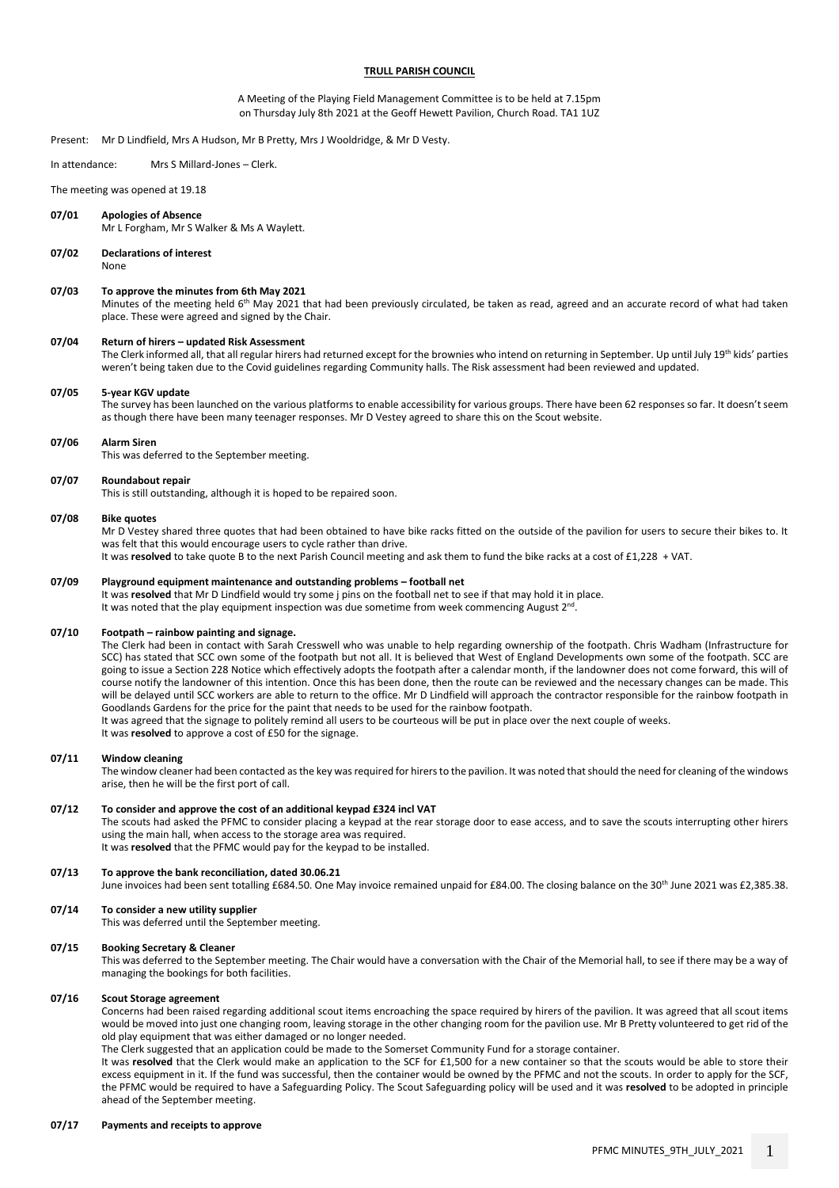## **TRULL PARISH COUNCIL**

A Meeting of the Playing Field Management Committee is to be held at 7.15pm on Thursday July 8th 2021 at the Geoff Hewett Pavilion, Church Road. TA1 1UZ

Present: Mr D Lindfield, Mrs A Hudson, Mr B Pretty, Mrs J Wooldridge, & Mr D Vesty.

In attendance: Mrs S Millard-Jones – Clerk.

The meeting was opened at 19.18

## **07/01 Apologies of Absence**

Mr L Forgham, Mr S Walker & Ms A Waylett.

#### **07/02 Declarations of interest** None

#### **07/03 To approve the minutes from 6th May 2021**

Minutes of the meeting held 6<sup>th</sup> May 2021 that had been previously circulated, be taken as read, agreed and an accurate record of what had taken place. These were agreed and signed by the Chair.

#### **07/04 Return of hirers – updated Risk Assessment**

The Clerk informed all, that all regular hirers had returned except for the brownies who intend on returning in September. Up until July 19<sup>th</sup> kids' parties weren't being taken due to the Covid guidelines regarding Community halls. The Risk assessment had been reviewed and updated.

### **07/05 5-year KGV update**

The survey has been launched on the various platforms to enable accessibility for various groups. There have been 62 responses so far. It doesn't seem as though there have been many teenager responses. Mr D Vestey agreed to share this on the Scout website.

#### **07/06 Alarm Siren**

This was deferred to the September meeting.

#### **07/07 Roundabout repair**

This is still outstanding, although it is hoped to be repaired soon.

#### **07/08 Bike quotes**

Mr D Vestey shared three quotes that had been obtained to have bike racks fitted on the outside of the pavilion for users to secure their bikes to. It was felt that this would encourage users to cycle rather than drive.

It was **resolved** to take quote B to the next Parish Council meeting and ask them to fund the bike racks at a cost of £1,228 + VAT.

## **07/09 Playground equipment maintenance and outstanding problems – football net**

It was **resolved** that Mr D Lindfield would try some j pins on the football net to see if that may hold it in place. It was noted that the play equipment inspection was due sometime from week commencing August 2<sup>nd</sup>.

#### **07/10 Footpath – rainbow painting and signage.**

The Clerk had been in contact with Sarah Cresswell who was unable to help regarding ownership of the footpath. Chris Wadham (Infrastructure for SCC) has stated that SCC own some of the footpath but not all. It is believed that West of England Developments own some of the footpath. SCC are going to issue a Section 228 Notice which effectively adopts the footpath after a calendar month, if the landowner does not come forward, this will of course notify the landowner of this intention. Once this has been done, then the route can be reviewed and the necessary changes can be made. This will be delayed until SCC workers are able to return to the office. Mr D Lindfield will approach the contractor responsible for the rainbow footpath in Goodlands Gardens for the price for the paint that needs to be used for the rainbow footpath. It was agreed that the signage to politely remind all users to be courteous will be put in place over the next couple of weeks.

It was **resolved** to approve a cost of £50 for the signage.

#### **07/11 Window cleaning**

The window cleaner had been contacted as the key was required for hirers to the pavilion. It was noted that should the need for cleaning of the windows arise, then he will be the first port of call.

#### **07/12 To consider and approve the cost of an additional keypad £324 incl VAT**

The scouts had asked the PFMC to consider placing a keypad at the rear storage door to ease access, and to save the scouts interrupting other hirers using the main hall, when access to the storage area was required. It was **resolved** that the PFMC would pay for the keypad to be installed.

# **07/13 To approve the bank reconciliation, dated 30.06.21**

June invoices had been sent totalling £684.50. One May invoice remained unpaid for £84.00. The closing balance on the 30<sup>th</sup> June 2021 was £2,385.38.

## **07/14 To consider a new utility supplier**

This was deferred until the September meeting.

### **07/15 Booking Secretary & Cleaner**

This was deferred to the September meeting. The Chair would have a conversation with the Chair of the Memorial hall, to see if there may be a way of managing the bookings for both facilities.

### **07/16 Scout Storage agreement**

Concerns had been raised regarding additional scout items encroaching the space required by hirers of the pavilion. It was agreed that all scout items would be moved into just one changing room, leaving storage in the other changing room for the pavilion use. Mr B Pretty volunteered to get rid of the old play equipment that was either damaged or no longer needed.

The Clerk suggested that an application could be made to the Somerset Community Fund for a storage container.

It was resolved that the Clerk would make an application to the SCF for £1,500 for a new container so that the scouts would be able to store their excess equipment in it. If the fund was successful, then the container would be owned by the PFMC and not the scouts. In order to apply for the SCF, the PFMC would be required to have a Safeguarding Policy. The Scout Safeguarding policy will be used and it was **resolved** to be adopted in principle ahead of the September meeting.

## **07/17 Payments and receipts to approve**